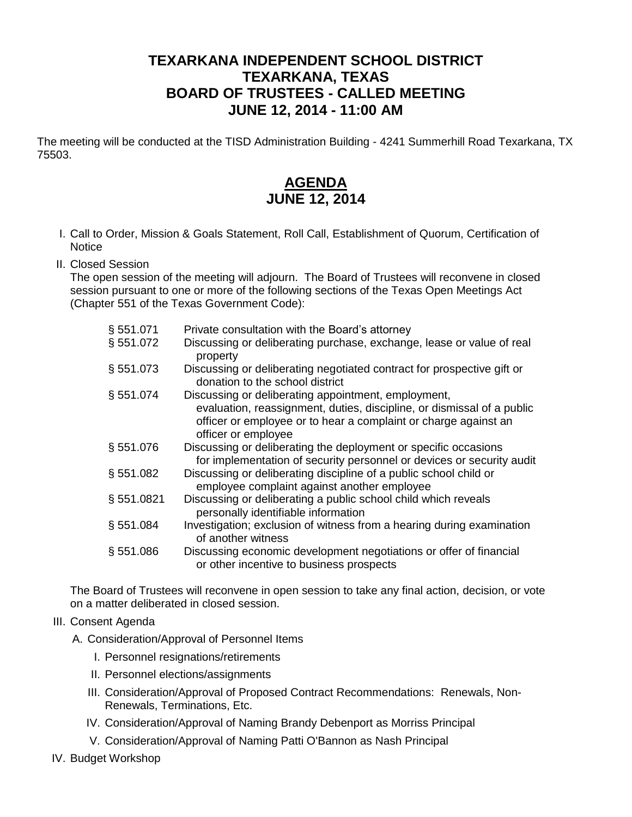## **TEXARKANA INDEPENDENT SCHOOL DISTRICT TEXARKANA, TEXAS BOARD OF TRUSTEES - CALLED MEETING JUNE 12, 2014 - 11:00 AM**

The meeting will be conducted at the TISD Administration Building - 4241 Summerhill Road Texarkana, TX 75503.

## **AGENDA JUNE 12, 2014**

- I. Call to Order, Mission & Goals Statement, Roll Call, Establishment of Quorum, Certification of **Notice**
- II. Closed Session

The open session of the meeting will adjourn. The Board of Trustees will reconvene in closed session pursuant to one or more of the following sections of the Texas Open Meetings Act (Chapter 551 of the Texas Government Code):

| § 551.071 | Private consultation with the Board's attorney                                                                                                                   |
|-----------|------------------------------------------------------------------------------------------------------------------------------------------------------------------|
| §551.072  | Discussing or deliberating purchase, exchange, lease or value of real<br>property                                                                                |
| § 551.073 | Discussing or deliberating negotiated contract for prospective gift or<br>donation to the school district                                                        |
| § 551.074 | Discussing or deliberating appointment, employment,                                                                                                              |
|           | evaluation, reassignment, duties, discipline, or dismissal of a public<br>officer or employee or to hear a complaint or charge against an<br>officer or employee |
| §551.076  | Discussing or deliberating the deployment or specific occasions<br>for implementation of security personnel or devices or security audit                         |
| \$551.082 | Discussing or deliberating discipline of a public school child or<br>employee complaint against another employee                                                 |
| §551.0821 | Discussing or deliberating a public school child which reveals<br>personally identifiable information                                                            |
| § 551.084 | Investigation; exclusion of witness from a hearing during examination<br>of another witness                                                                      |
| § 551.086 | Discussing economic development negotiations or offer of financial<br>or other incentive to business prospects                                                   |

The Board of Trustees will reconvene in open session to take any final action, decision, or vote on a matter deliberated in closed session.

## III. Consent Agenda

A. Consideration/Approval of Personnel Items

- I. Personnel resignations/retirements
- II. Personnel elections/assignments
- III. Consideration/Approval of Proposed Contract Recommendations: Renewals, Non-Renewals, Terminations, Etc.
- IV. Consideration/Approval of Naming Brandy Debenport as Morriss Principal
- V. Consideration/Approval of Naming Patti O'Bannon as Nash Principal
- IV. Budget Workshop